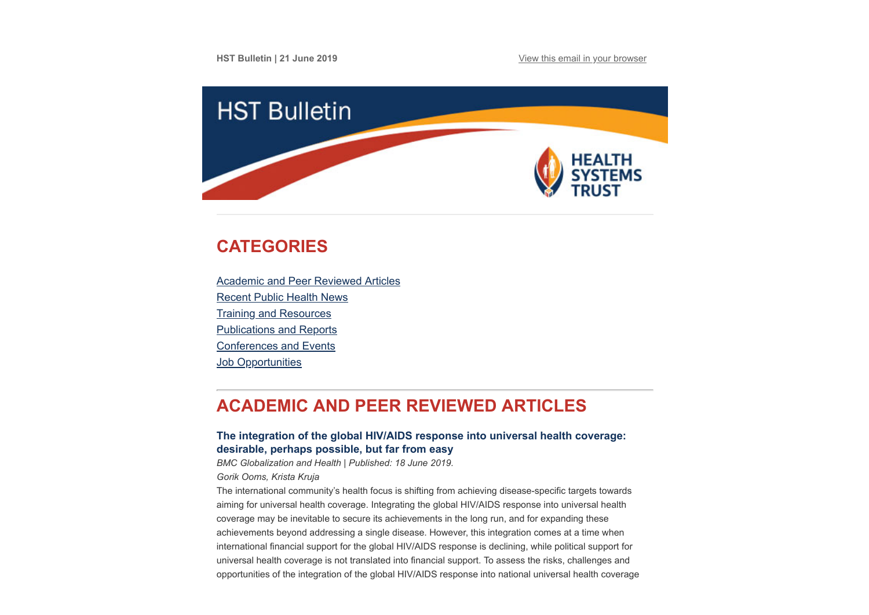**HST Bulletin | 21 June 2019 [View this email in your browser](https://mailchi.mp/ffb064bad643/hst-bulletin-21-april-776005?e=[UNIQID])** 



# <span id="page-0-1"></span>**CATEGORIES**

[Academic and Peer Reviewed Articles](#page-0-0) [Recent Public Health News](#page-2-0) [Training and Resources](#page-3-0) [Publications and Reports](#page-4-0) [Conferences and Events](#page-5-0) **Job Opportunities** 

# <span id="page-0-0"></span>**ACADEMIC AND PEER REVIEWED ARTICLES**

## **[The integration of the global HIV/AIDS response into universal health coverage:](https://globalizationandhealth.biomedcentral.com/articles/10.1186/s12992-019-0487-5) desirable, perhaps possible, but far from easy**

*BMC Globalization and Health | Published: 18 June 2019.*

#### *Gorik Ooms, Krista Kruja*

The international community's health focus is shifting from achieving disease-specific targets towards aiming for universal health coverage. Integrating the global HIV/AIDS response into universal health coverage may be inevitable to secure its achievements in the long run, and for expanding these achievements beyond addressing a single disease. However, this integration comes at a time when international financial support for the global HIV/AIDS response is declining, while political support for universal health coverage is not translated into financial support. To assess the risks, challenges and opportunities of the integration of the global HIV/AIDS response into national universal health coverage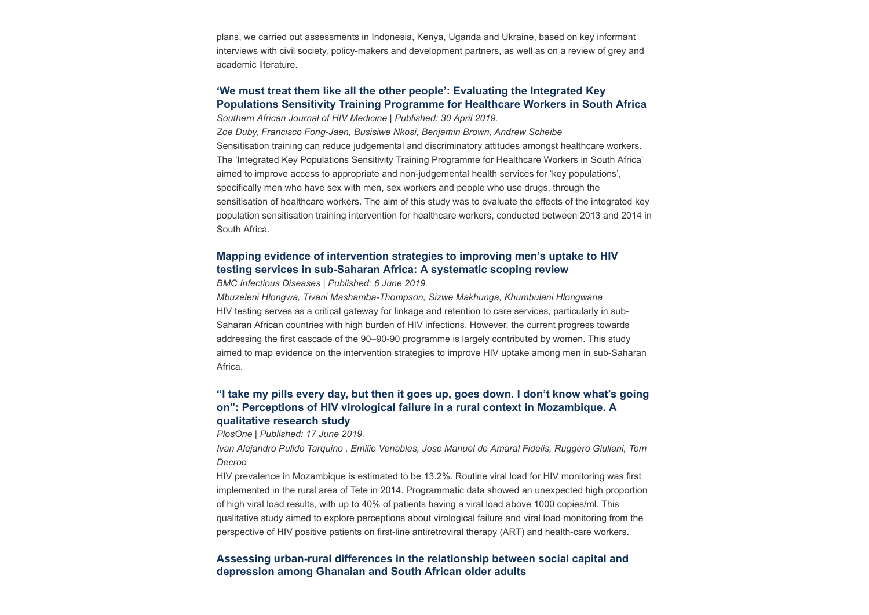plans, we carried out assessments in Indonesia, Kenya, Uganda and Ukraine, based on key informant interviews with civil society, policy-makers and development partners, as well as on a review of grey and academic literature.

## **'We must treat them like all the other people': Evaluating the Integrated Key [Populations Sensitivity Training Programme for Healthcare Workers in South Africa](https://sajhivmed.org.za/index.php/hivmed/article/view/909/1388)**

*Southern African Journal of HIV Medicine | Published: 30 April 2019. Zoe Duby, Francisco Fong-Jaen, Busisiwe Nkosi, Benjamin Brown, Andrew Scheibe* Sensitisation training can reduce judgemental and discriminatory attitudes amongst healthcare workers. The 'Integrated Key Populations Sensitivity Training Programme for Healthcare Workers in South Africa' aimed to improve access to appropriate and non-judgemental health services for 'key populations', specifically men who have sex with men, sex workers and people who use drugs, through the sensitisation of healthcare workers. The aim of this study was to evaluate the effects of the integrated key population sensitisation training intervention for healthcare workers, conducted between 2013 and 2014 in South Africa.

## **[Mapping evidence of intervention strategies to improving men's uptake to HIV](https://link.springer.com/epdf/10.1186/s12879-019-4124-y?author_access_token=IJWRBLcoZbJCQZaGfPhHLG_BpE1tBhCbnbw3BuzI2RPDWdaoUYhJlKfe-F9ey5Hwd5aG-3kceNFyJB0jsV1EufZv-ob2rp_J7WXd5ZG2s6_ETZB3ETceMJ3pQJj8z2qlKylkGcPPpSOW_-svjuBEsA%3D%3D) testing services in sub-Saharan Africa: A systematic scoping review**

*BMC Infectious Diseases | Published: 6 June 2019.*

*Mbuzeleni Hlongwa, Tivani Mashamba-Thompson, Sizwe Makhunga, Khumbulani Hlongwana* HIV testing serves as a critical gateway for linkage and retention to care services, particularly in sub-Saharan African countries with high burden of HIV infections. However, the current progress towards addressing the first cascade of the 90–90-90 programme is largely contributed by women. This study aimed to map evidence on the intervention strategies to improve HIV uptake among men in sub-Saharan Africa.

## **["I take my pills every day, but then it goes up, goes down. I don't know what's going](https://journals.plos.org/plosone/article?id=10.1371/journal.pone.0218364) on": Perceptions of HIV virological failure in a rural context in Mozambique. A qualitative research study**

*PlosOne | Published: 17 June 2019.*

*Ivan Alejandro Pulido Tarquino , Emilie Venables, Jose Manuel de Amaral Fidelis, Ruggero Giuliani, Tom Decroo*

HIV prevalence in Mozambique is estimated to be 13.2%. Routine viral load for HIV monitoring was first implemented in the rural area of Tete in 2014. Programmatic data showed an unexpected high proportion of high viral load results, with up to 40% of patients having a viral load above 1000 copies/ml. This qualitative study aimed to explore perceptions about virological failure and viral load monitoring from the perspective of HIV positive patients on first-line antiretroviral therapy (ART) and health-care workers.

## **[Assessing urban-rural differences in the relationship between social capital and](https://journals.plos.org/plosone/article?id=10.1371/journal.pone.0218620) depression among Ghanaian and South African older adults**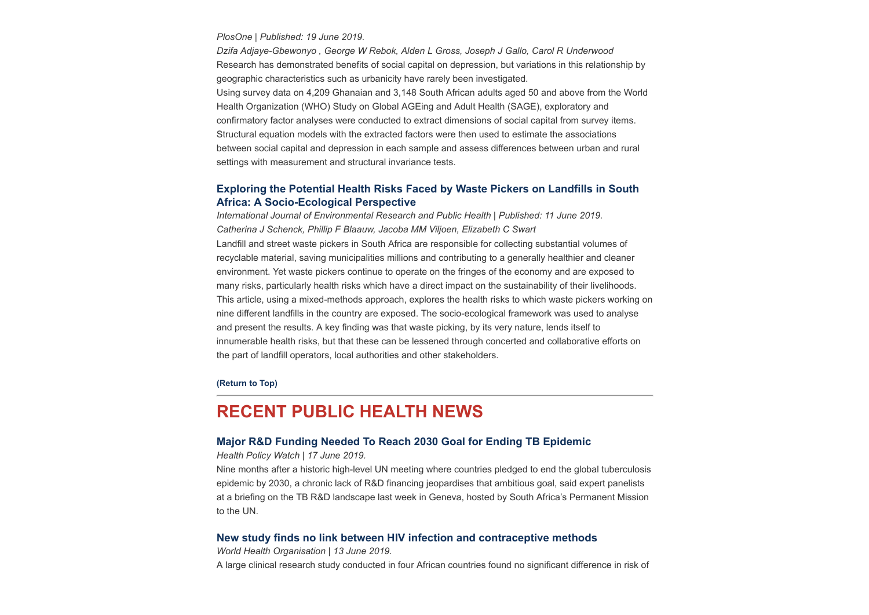*PlosOne | Published: 19 June 2019.*

*Dzifa Adjaye-Gbewonyo , George W Rebok, Alden L Gross, Joseph J Gallo, Carol R Underwood* Research has demonstrated benefits of social capital on depression, but variations in this relationship by geographic characteristics such as urbanicity have rarely been investigated. Using survey data on 4,209 Ghanaian and 3,148 South African adults aged 50 and above from the World Health Organization (WHO) Study on Global AGEing and Adult Health (SAGE), exploratory and confirmatory factor analyses were conducted to extract dimensions of social capital from survey items. Structural equation models with the extracted factors were then used to estimate the associations between social capital and depression in each sample and assess differences between urban and rural settings with measurement and structural invariance tests.

## **[Exploring the Potential Health Risks Faced by Waste Pickers on Landfills in South](https://www.mdpi.com/1660-4601/16/11/2059/htm) Africa: A Socio-Ecological Perspective**

*International Journal of Environmental Research and Public Health | Published: 11 June 2019. Catherina J Schenck, Phillip F Blaauw, Jacoba MM Viljoen, Elizabeth C Swart* Landfill and street waste pickers in South Africa are responsible for collecting substantial volumes of recyclable material, saving municipalities millions and contributing to a generally healthier and cleaner environment. Yet waste pickers continue to operate on the fringes of the economy and are exposed to many risks, particularly health risks which have a direct impact on the sustainability of their livelihoods. This article, using a mixed-methods approach, explores the health risks to which waste pickers working on nine different landfills in the country are exposed. The socio-ecological framework was used to analyse and present the results. A key finding was that waste picking, by its very nature, lends itself to innumerable health risks, but that these can be lessened through concerted and collaborative efforts on the part of landfill operators, local authorities and other stakeholders.

**[\(Return to Top\)](#page-0-1)**

## <span id="page-2-0"></span>**RECENT PUBLIC HEALTH NEWS**

### **[Major R&D Funding Needed To Reach 2030 Goal for Ending TB Epidemic](https://www.healthpolicy-watch.org/major-rd-funding-needed-to-reach-2030-goal-for-ending-tb-epidemic/)**

*Health Policy Watch | 17 June 2019.* 

Nine months after a historic high-level UN meeting where countries pledged to end the global tuberculosis epidemic by 2030, a chronic lack of R&D financing jeopardises that ambitious goal, said expert panelists at a briefing on the TB R&D landscape last week in Geneva, hosted by South Africa's Permanent Mission to the UN.

### **[New study finds no link between HIV infection and contraceptive methods](https://www.who.int/news-room/detail/13-06-2019-new-study-finds-no-link-between-hiv-infection-and-contraceptive-methods)**

*World Health Organisation | 13 June 2019.* A large clinical research study conducted in four African countries found no significant difference in risk of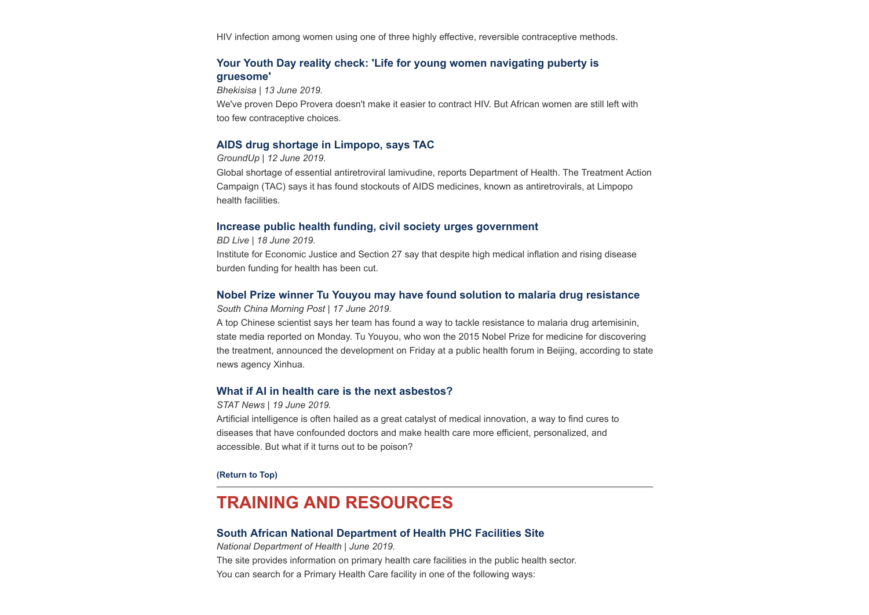HIV infection among women using one of three highly effective, reversible contraceptive methods.

## **[Your Youth Day reality check: 'Life for young women navigating puberty is](https://bhekisisa.org/article/2019-06-13-00-echo-trial-results-lancet-depro-provera-does-not-increase-hiv-risk-yvette-raphael) gruesome'**

*Bhekisisa | 13 June 2019.*

We've proven Depo Provera doesn't make it easier to contract HIV. But African women are still left with too few contraceptive choices.

### **[AIDS drug shortage in Limpopo, says TAC](https://www.groundup.org.za/article/aids-drug-shortage-limpopo-says-tac/)**

*GroundUp | 12 June 2019.*

Global shortage of essential antiretroviral lamivudine, reports Department of Health. The Treatment Action Campaign (TAC) says it has found stockouts of AIDS medicines, known as antiretrovirals, at Limpopo health facilities.

#### **[Increase public health funding, civil society urges government](https://www.businesslive.co.za/bd/national/health/2019-06-18-increase-public-health-funding-civil-society-urges-government/)**

*BD Live | 18 June 2019.*

Institute for Economic Justice and Section 27 say that despite high medical inflation and rising disease burden funding for health has been cut.

### **[Nobel Prize winner Tu Youyou may have found solution to malaria drug resistance](https://www.scmp.com/news/china/science/article/3014917/chinese-scientists-may-have-found-way-tackle-resistance-malaria?utm_source=Global%20Health%20NOW%20Main%20List&utm_campaign=7bd5891e9b-EMAIL_CAMPAIGN_2019_06_18_12_25&utm_medium=email&utm_term=0_8d0d062dbd-7bd5891e9b-2811001)**

*South China Morning Post | 17 June 2019.*

A top Chinese scientist says her team has found a way to tackle resistance to malaria drug artemisinin, state media reported on Monday. Tu Youyou, who won the 2015 Nobel Prize for medicine for discovering the treatment, announced the development on Friday at a public health forum in Beijing, according to state news agency Xinhua.

#### **[What if AI in health care is the next asbestos?](https://www.statnews.com/2019/06/19/what-if-ai-in-health-care-is-next-asbestos/?utm_source=STAT+Newsletters&utm_campaign=c9b6931f32-Pharmalot&utm_medium=email&utm_term=0_8cab1d7961-c9b6931f32-149648021)**

*STAT News | 19 June 2019.*

Artificial intelligence is often hailed as a great catalyst of medical innovation, a way to find cures to diseases that have confounded doctors and make health care more efficient, personalized, and accessible. But what if it turns out to be poison?

**[\(Return to Top\)](#page-0-1)**

## <span id="page-3-0"></span>**TRAINING AND RESOURCES**

## **[South African National Department of Health PHC Facilities Site](https://phcfacilities.dhmis.org/)**

*National Department of Health | June 2019.*  The site provides information on primary health care facilities in the public health sector. You can search for a Primary Health Care facility in one of the following ways: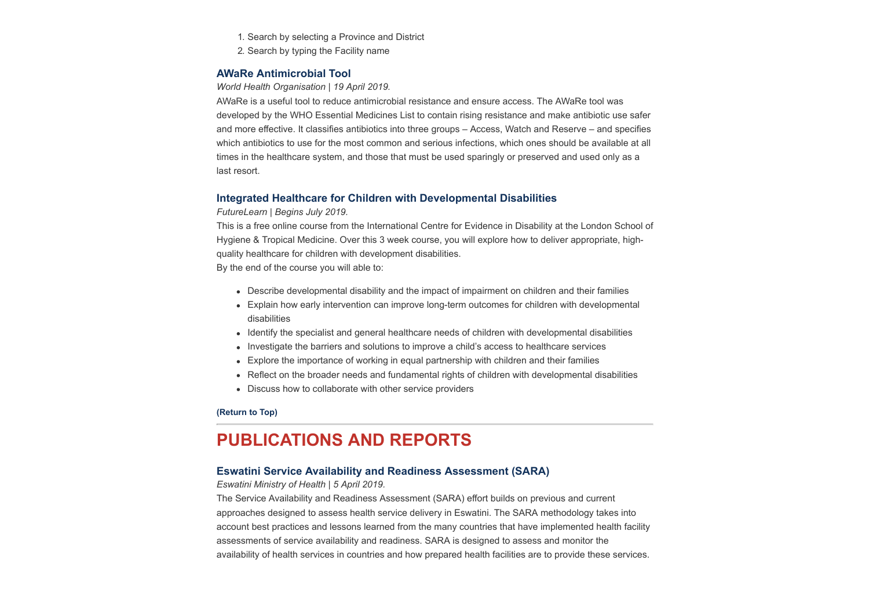- 1. Search by selecting a Province and District
- 2. Search by typing the Facility name

### **[AWaRe Antimicrobial Tool](https://adoptaware.org/)**

#### *World Health Organisation | 19 April 2019.*

AWaRe is a useful tool to reduce antimicrobial resistance and ensure access. The AWaRe tool was developed by the WHO Essential Medicines List to contain rising resistance and make antibiotic use safer and more effective. It classifies antibiotics into three groups – Access, Watch and Reserve – and specifies which antibiotics to use for the most common and serious infections, which ones should be available at all times in the healthcare system, and those that must be used sparingly or preserved and used only as a last resort.

### **[Integrated Healthcare for Children with Developmental Disabilities](https://www.futurelearn.com/courses/children-with-developmental-disabilities)**

#### *FutureLearn | Begins July 2019.*

This is a free online course from the International Centre for Evidence in Disability at the London School of Hygiene & Tropical Medicine. Over this 3 week course, you will explore how to deliver appropriate, highquality healthcare for children with development disabilities.

By the end of the course you will able to:

- Describe developmental disability and the impact of impairment on children and their families
- Explain how early intervention can improve long-term outcomes for children with developmental disabilities
- Identify the specialist and general healthcare needs of children with developmental disabilities
- Investigate the barriers and solutions to improve a child's access to healthcare services
- Explore the importance of working in equal partnership with children and their families
- Reflect on the broader needs and fundamental rights of children with developmental disabilities
- Discuss how to collaborate with other service providers

#### **[\(Return to Top\)](#page-0-1)**

# <span id="page-4-0"></span>**PUBLICATIONS AND REPORTS**

### **[Eswatini Service Availability and Readiness Assessment \(SARA\)](https://www.hst.org.za/publications/NonHST%20Publications/Eswatini%20SARA%20March%20(05%2004%202019).pdf)**

#### *Eswatini Ministry of Health | 5 April 2019.*

The Service Availability and Readiness Assessment (SARA) effort builds on previous and current approaches designed to assess health service delivery in Eswatini. The SARA methodology takes into account best practices and lessons learned from the many countries that have implemented health facility assessments of service availability and readiness. SARA is designed to assess and monitor the availability of health services in countries and how prepared health facilities are to provide these services.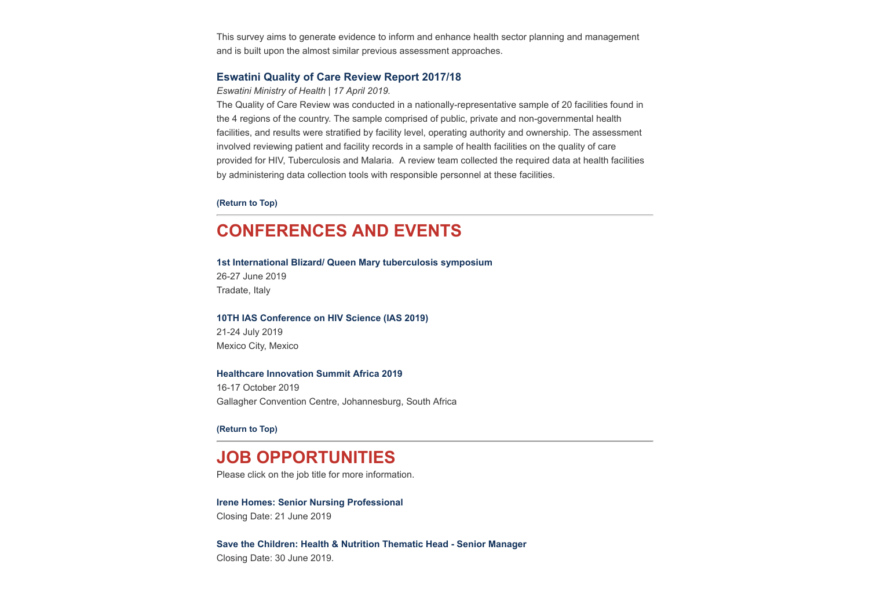This survey aims to generate evidence to inform and enhance health sector planning and management and is built upon the almost similar previous assessment approaches.

## **[Eswatini Quality of Care Review Report 2017/18](https://www.hst.org.za/publications/NonHST%20Publications/QualityofcareReviewReport.pdf)**

*Eswatini Ministry of Health | 17 April 2019.*

The Quality of Care Review was conducted in a nationally-representative sample of 20 facilities found in the 4 regions of the country. The sample comprised of public, private and non-governmental health facilities, and results were stratified by facility level, operating authority and ownership. The assessment involved reviewing patient and facility records in a sample of health facilities on the quality of care provided for HIV, Tuberculosis and Malaria. A review team collected the required data at health facilities by administering data collection tools with responsible personnel at these facilities.

#### **[\(Return to Top\)](#page-0-1)**

# <span id="page-5-0"></span>**CONFERENCES AND EVENTS**

**[1st International Blizard/ Queen Mary tuberculosis symposium](https://www.qmul.ac.uk/research/#mailout)** 26-27 June 2019 Tradate, Italy

**[10TH IAS Conference on HIV Science \(IAS 2019\)](http://www.ias2019.org/)** 21-24 July 2019 Mexico City, Mexico

#### **[Healthcare Innovation Summit Africa 2019](http://www.healthcareinnovationsummit.co.za/)**

16-17 October 2019 Gallagher Convention Centre, Johannesburg, South Africa

**[\(Return to Top\)](#page-0-1)**

# **JOB OPPORTUNITIES**

Please click on the job title for more information.

#### **[Irene Homes: Senior Nursing Professional](http://www.ngopulse.org/opportunity/2019/06/11/senior-nursing-professional-0)**

Closing Date: 21 June 2019

**[Save the Children: Health & Nutrition Thematic Head - Senior Manager](http://www.ngopulse.org/opportunity/2019/05/23/save-children-health-nutrition-thematic-head)** Closing Date: 30 June 2019.